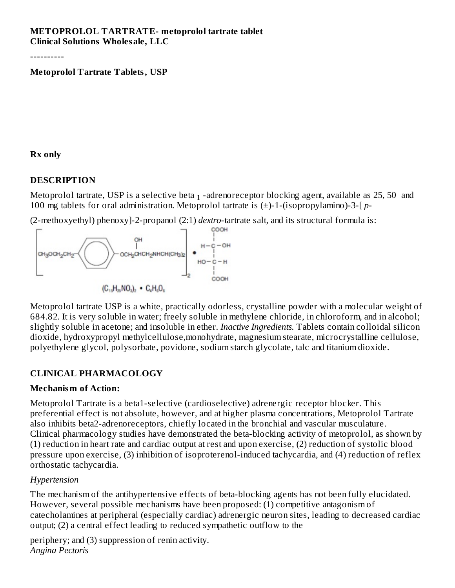#### **METOPROLOL TARTRATE- metoprolol tartrate tablet Clinical Solutions Wholesale, LLC**

----------

#### **Metoprolol Tartrate Tablets, USP**

#### **Rx only**

#### **DESCRIPTION**

Metoprolol tartrate, USP is a selective beta  $_1$  -adrenoreceptor blocking agent, available as 25, 50  $\,$  and 100 mg tablets for oral administration. Metoprolol tartrate is (±)-1-(isopropylamino)-3-[ *p*-

(2-methoxyethyl) phenoxy]-2-propanol (2:1) *dextro*-tartrate salt, and its structural formula is:



Metoprolol tartrate USP is a white, practically odorless, crystalline powder with a molecular weight of 684.82. It is very soluble in water; freely soluble in methylene chloride, in chloroform, and in alcohol; slightly soluble in acetone; and insoluble in ether. *Inactive Ingredients.* Tablets contain colloidal silicon dioxide, hydroxypropyl methylcellulose,monohydrate, magnesium stearate, microcrystalline cellulose, polyethylene glycol, polysorbate, povidone, sodium starch glycolate, talc and titanium dioxide.

#### **CLINICAL PHARMACOLOGY**

#### **Mechanism of Action:**

Metoprolol Tartrate is a beta1-selective (cardioselective) adrenergic receptor blocker. This preferential effect is not absolute, however, and at higher plasma concentrations, Metoprolol Tartrate also inhibits beta2-adrenoreceptors, chiefly located in the bronchial and vascular musculature. Clinical pharmacology studies have demonstrated the beta-blocking activity of metoprolol, as shown by (1) reduction in heart rate and cardiac output at rest and upon exercise, (2) reduction of systolic blood pressure upon exercise, (3) inhibition of isoproterenol-induced tachycardia, and (4) reduction of reflex orthostatic tachycardia.

#### *Hypertension*

The mechanism of the antihypertensive effects of beta-blocking agents has not been fully elucidated. However, several possible mechanisms have been proposed: (1) competitive antagonism of catecholamines at peripheral (especially cardiac) adrenergic neuron sites, leading to decreased cardiac output; (2) a central effect leading to reduced sympathetic outflow to the

periphery; and (3) suppression of renin activity. *Angina Pectoris*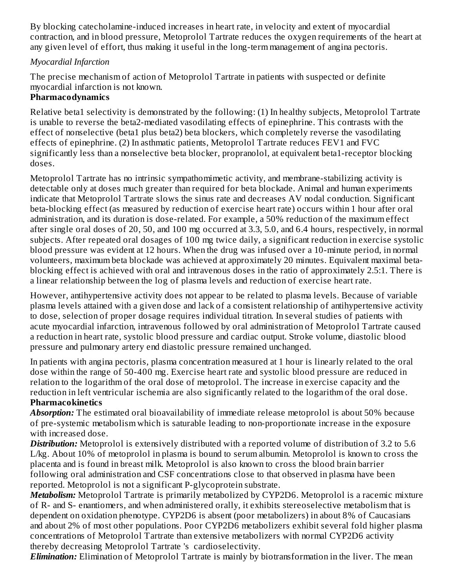By blocking catecholamine-induced increases in heart rate, in velocity and extent of myocardial contraction, and in blood pressure, Metoprolol Tartrate reduces the oxygen requirements of the heart at any given level of effort, thus making it useful in the long-term management of angina pectoris.

#### *Myocardial Infarction*

The precise mechanism of action of Metoprolol Tartrate in patients with suspected or definite myocardial infarction is not known.

# **Pharmacodynamics**

Relative beta1 selectivity is demonstrated by the following: (1) In healthy subjects, Metoprolol Tartrate is unable to reverse the beta2-mediated vasodilating effects of epinephrine. This contrasts with the effect of nonselective (beta1 plus beta2) beta blockers, which completely reverse the vasodilating effects of epinephrine. (2) In asthmatic patients, Metoprolol Tartrate reduces FEV1 and FVC significantly less than a nonselective beta blocker, propranolol, at equivalent beta1-receptor blocking doses.

Metoprolol Tartrate has no intrinsic sympathomimetic activity, and membrane-stabilizing activity is detectable only at doses much greater than required for beta blockade. Animal and human experiments indicate that Metoprolol Tartrate slows the sinus rate and decreases AV nodal conduction. Significant beta-blocking effect (as measured by reduction of exercise heart rate) occurs within 1 hour after oral administration, and its duration is dose-related. For example, a 50% reduction of the maximum effect after single oral doses of 20, 50, and 100 mg occurred at 3.3, 5.0, and 6.4 hours, respectively, in normal subjects. After repeated oral dosages of 100 mg twice daily, a significant reduction in exercise systolic blood pressure was evident at 12 hours. When the drug was infused over a 10-minute period, in normal volunteers, maximum beta blockade was achieved at approximately 20 minutes. Equivalent maximal betablocking effect is achieved with oral and intravenous doses in the ratio of approximately 2.5:1. There is a linear relationship between the log of plasma levels and reduction of exercise heart rate.

However, antihypertensive activity does not appear to be related to plasma levels. Because of variable plasma levels attained with a given dose and lack of a consistent relationship of antihypertensive activity to dose, selection of proper dosage requires individual titration. In several studies of patients with acute myocardial infarction, intravenous followed by oral administration of Metoprolol Tartrate caused a reduction in heart rate, systolic blood pressure and cardiac output. Stroke volume, diastolic blood pressure and pulmonary artery end diastolic pressure remained unchanged.

In patients with angina pectoris, plasma concentration measured at 1 hour is linearly related to the oral dose within the range of 50-400 mg. Exercise heart rate and systolic blood pressure are reduced in relation to the logarithm of the oral dose of metoprolol. The increase in exercise capacity and the reduction in left ventricular ischemia are also significantly related to the logarithm of the oral dose. **Pharmacokinetics**

*Absorption:* The estimated oral bioavailability of immediate release metoprolol is about 50% because of pre-systemic metabolism which is saturable leading to non-proportionate increase in the exposure with increased dose.

*Distribution:* Metoprolol is extensively distributed with a reported volume of distribution of 3.2 to 5.6 L/kg. About 10% of metoprolol in plasma is bound to serum albumin. Metoprolol is known to cross the placenta and is found in breast milk. Metoprolol is also known to cross the blood brain barrier following oral administration and CSF concentrations close to that observed in plasma have been reported. Metoprolol is not a significant P-glycoprotein substrate.

*Metabolism:* Metoprolol Tartrate is primarily metabolized by CYP2D6. Metoprolol is a racemic mixture of R- and S- enantiomers, and when administered orally, it exhibits stereoselective metabolism that is dependent on oxidation phenotype. CYP2D6 is absent (poor metabolizers) in about 8% of Caucasians and about 2% of most other populations. Poor CYP2D6 metabolizers exhibit several fold higher plasma concentrations of Metoprolol Tartrate than extensive metabolizers with normal CYP2D6 activity thereby decreasing Metoprolol Tartrate 's cardioselectivity.

*Elimination:* Elimination of Metoprolol Tartrate is mainly by biotransformation in the liver. The mean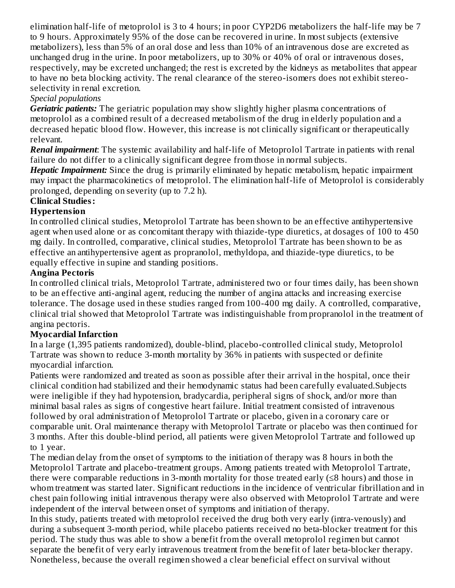elimination half-life of metoprolol is 3 to 4 hours; in poor CYP2D6 metabolizers the half-life may be 7 to 9 hours. Approximately 95% of the dose can be recovered in urine. In most subjects (extensive metabolizers), less than 5% of an oral dose and less than 10% of an intravenous dose are excreted as unchanged drug in the urine. In poor metabolizers, up to 30% or 40% of oral or intravenous doses, respectively, may be excreted unchanged; the rest is excreted by the kidneys as metabolites that appear to have no beta blocking activity. The renal clearance of the stereo-isomers does not exhibit stereoselectivity in renal excretion.

#### *Special populations*

*Geriatric patients:* The geriatric population may show slightly higher plasma concentrations of metoprolol as a combined result of a decreased metabolism of the drug in elderly population and a decreased hepatic blood flow. However, this increase is not clinically significant or therapeutically relevant.

*Renal impairment*: The systemic availability and half-life of Metoprolol Tartrate in patients with renal failure do not differ to a clinically significant degree from those in normal subjects.

*Hepatic Impairment:* Since the drug is primarily eliminated by hepatic metabolism, hepatic impairment may impact the pharmacokinetics of metoprolol. The elimination half-life of Metoprolol is considerably prolonged, depending on severity (up to 7.2 h).

#### **Clinical Studies:**

# **Hypertension**

In controlled clinical studies, Metoprolol Tartrate has been shown to be an effective antihypertensive agent when used alone or as concomitant therapy with thiazide-type diuretics, at dosages of 100 to 450 mg daily. In controlled, comparative, clinical studies, Metoprolol Tartrate has been shown to be as effective an antihypertensive agent as propranolol, methyldopa, and thiazide-type diuretics, to be equally effective in supine and standing positions.

# **Angina Pectoris**

In controlled clinical trials, Metoprolol Tartrate, administered two or four times daily, has been shown to be an effective anti-anginal agent, reducing the number of angina attacks and increasing exercise tolerance. The dosage used in these studies ranged from 100-400 mg daily. A controlled, comparative, clinical trial showed that Metoprolol Tartrate was indistinguishable from propranolol in the treatment of angina pectoris.

# **Myocardial Infarction**

In a large (1,395 patients randomized), double-blind, placebo-controlled clinical study, Metoprolol Tartrate was shown to reduce 3-month mortality by 36% in patients with suspected or definite myocardial infarction.

Patients were randomized and treated as soon as possible after their arrival in the hospital, once their clinical condition had stabilized and their hemodynamic status had been carefully evaluated.Subjects were ineligible if they had hypotension, bradycardia, peripheral signs of shock, and/or more than minimal basal rales as signs of congestive heart failure. Initial treatment consisted of intravenous followed by oral administration of Metoprolol Tartrate or placebo, given in a coronary care or comparable unit. Oral maintenance therapy with Metoprolol Tartrate or placebo was then continued for 3 months. After this double-blind period, all patients were given Metoprolol Tartrate and followed up to 1 year.

The median delay from the onset of symptoms to the initiation of therapy was 8 hours in both the Metoprolol Tartrate and placebo-treatment groups. Among patients treated with Metoprolol Tartrate, there were comparable reductions in 3-month mortality for those treated early (≤8 hours) and those in whom treatment was started later. Significant reductions in the incidence of ventricular fibrillation and in chest pain following initial intravenous therapy were also observed with Metoprolol Tartrate and were independent of the interval between onset of symptoms and initiation of therapy.

In this study, patients treated with metoprolol received the drug both very early (intra-venously) and during a subsequent 3-month period, while placebo patients received no beta-blocker treatment for this period. The study thus was able to show a benefit from the overall metoprolol regimen but cannot separate the benefit of very early intravenous treatment from the benefit of later beta-blocker therapy. Nonetheless, because the overall regimen showed a clear beneficial effect on survival without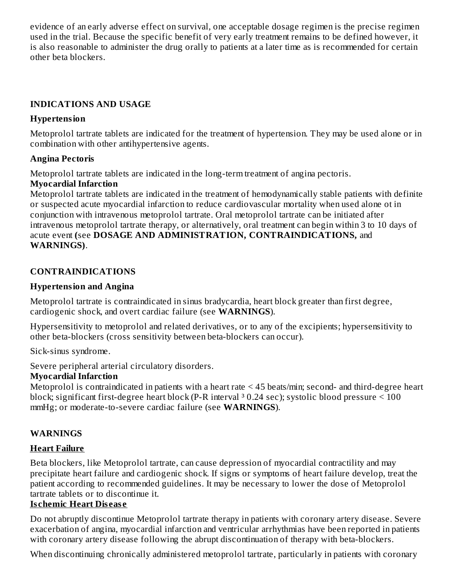evidence of an early adverse effect on survival, one acceptable dosage regimen is the precise regimen used in the trial. Because the specific benefit of very early treatment remains to be defined however, it is also reasonable to administer the drug orally to patients at a later time as is recommended for certain other beta blockers.

#### **INDICATIONS AND USAGE**

#### **Hypertension**

Metoprolol tartrate tablets are indicated for the treatment of hypertension. They may be used alone or in combination with other antihypertensive agents.

#### **Angina Pectoris**

Metoprolol tartrate tablets are indicated in the long-term treatment of angina pectoris.

#### **Myocardial Infarction**

Metoprolol tartrate tablets are indicated in the treatment of hemodynamically stable patients with definite or suspected acute myocardial infarction to reduce cardiovascular mortality when used alone ot in conjunction with intravenous metoprolol tartrate. Oral metoprolol tartrate can be initiated after intravenous metoprolol tartrate therapy, or alternatively, oral treatment can begin within 3 to 10 days of acute event **(**see **DOSAGE AND ADMINISTRATION, CONTRAINDICATIONS,** and **WARNINGS)**.

#### **CONTRAINDICATIONS**

#### **Hypertension and Angina**

Metoprolol tartrate is contraindicated in sinus bradycardia, heart block greater than first degree, cardiogenic shock, and overt cardiac failure (see **WARNINGS**).

Hypersensitivity to metoprolol and related derivatives, or to any of the excipients; hypersensitivity to other beta-blockers (cross sensitivity between beta-blockers can occur).

Sick-sinus syndrome.

Severe peripheral arterial circulatory disorders.

#### **Myocardial Infarction**

Metoprolol is contraindicated in patients with a heart rate < 45 beats/min; second- and third-degree heart block; significant first-degree heart block (P-R interval  $30.24$  sec); systolic blood pressure  $\leq 100$ mmHg; or moderate-to-severe cardiac failure (see **WARNINGS**).

#### **WARNINGS**

#### **Heart Failure**

Beta blockers, like Metoprolol tartrate, can cause depression of myocardial contractility and may precipitate heart failure and cardiogenic shock. If signs or symptoms of heart failure develop, treat the patient according to recommended guidelines. It may be necessary to lower the dose of Metoprolol tartrate tablets or to discontinue it.

#### **Is chemic Heart Dis eas e**

Do not abruptly discontinue Metoprolol tartrate therapy in patients with coronary artery disease. Severe exacerbation of angina, myocardial infarction and ventricular arrhythmias have been reported in patients with coronary artery disease following the abrupt discontinuation of therapy with beta-blockers.

When discontinuing chronically administered metoprolol tartrate, particularly in patients with coronary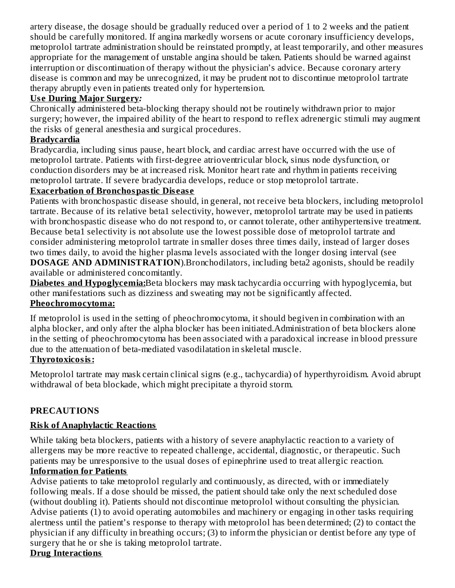artery disease, the dosage should be gradually reduced over a period of 1 to 2 weeks and the patient should be carefully monitored. If angina markedly worsens or acute coronary insufficiency develops, metoprolol tartrate administration should be reinstated promptly, at least temporarily, and other measures appropriate for the management of unstable angina should be taken. Patients should be warned against interruption or discontinuation of therapy without the physician's advice. Because coronary artery disease is common and may be unrecognized, it may be prudent not to discontinue metoprolol tartrate therapy abruptly even in patients treated only for hypertension.

#### **Us e During Major Surgery***:*

Chronically administered beta-blocking therapy should not be routinely withdrawn prior to major surgery; however, the impaired ability of the heart to respond to reflex adrenergic stimuli may augment the risks of general anesthesia and surgical procedures.

#### **Bradycardia**

Bradycardia, including sinus pause, heart block, and cardiac arrest have occurred with the use of metoprolol tartrate. Patients with first-degree atrioventricular block, sinus node dysfunction, or conduction disorders may be at increased risk. Monitor heart rate and rhythm in patients receiving metoprolol tartrate. If severe bradycardia develops, reduce or stop metoprolol tartrate.

#### **Exacerbation of Bronchospastic Dis eas e**

Patients with bronchospastic disease should, in general, not receive beta blockers, including metoprolol tartrate. Because of its relative beta1 selectivity, however, metoprolol tartrate may be used in patients with bronchospastic disease who do not respond to, or cannot tolerate, other antihypertensive treatment. Because beta1 selectivity is not absolute use the lowest possible dose of metoprolol tartrate and consider administering metoprolol tartrate in smaller doses three times daily, instead of larger doses two times daily, to avoid the higher plasma levels associated with the longer dosing interval (see **DOSAGE AND ADMINISTRATION**).Bronchodilators, including beta2 agonists, should be readily available or administered concomitantly.

**Diabetes and Hypoglycemia:**Beta blockers may mask tachycardia occurring with hypoglycemia, but other manifestations such as dizziness and sweating may not be significantly affected.

#### **Pheochromocytoma:**

If metoprolol is used in the setting of pheochromocytoma, it should begiven in combination with an alpha blocker, and only after the alpha blocker has been initiated.Administration of beta blockers alone in the setting of pheochromocytoma has been associated with a paradoxical increase in blood pressure due to the attenuation of beta-mediated vasodilatation in skeletal muscle.

# **Thyrotoxicosis:**

Metoprolol tartrate may mask certain clinical signs (e.g., tachycardia) of hyperthyroidism. Avoid abrupt withdrawal of beta blockade, which might precipitate a thyroid storm.

# **PRECAUTIONS**

# **Risk of Anaphylactic Reactions**

While taking beta blockers, patients with a history of severe anaphylactic reaction to a variety of allergens may be more reactive to repeated challenge, accidental, diagnostic, or therapeutic. Such patients may be unresponsive to the usual doses of epinephrine used to treat allergic reaction. **Information for Patients**

Advise patients to take metoprolol regularly and continuously, as directed, with or immediately following meals. If a dose should be missed, the patient should take only the next scheduled dose (without doubling it). Patients should not discontinue metoprolol without consulting the physician. Advise patients (1) to avoid operating automobiles and machinery or engaging in other tasks requiring alertness until the patient's response to therapy with metoprolol has been determined; (2) to contact the physician if any difficulty in breathing occurs; (3) to inform the physician or dentist before any type of surgery that he or she is taking metoprolol tartrate.

#### **Drug Interactions**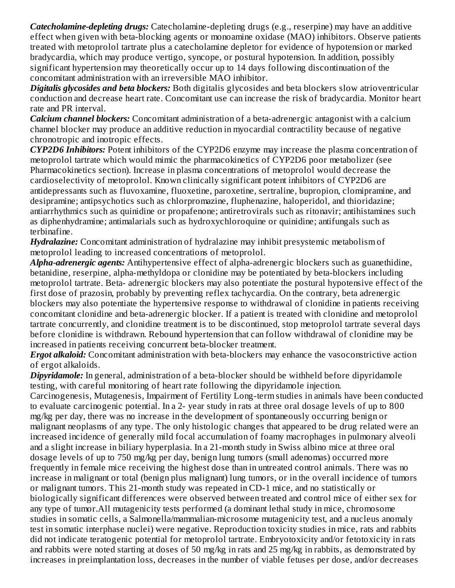*Catecholamine-depleting drugs:* Catecholamine-depleting drugs (e.g., reserpine) may have an additive effect when given with beta-blocking agents or monoamine oxidase (MAO) inhibitors. Observe patients treated with metoprolol tartrate plus a catecholamine depletor for evidence of hypotension or marked bradycardia, which may produce vertigo, syncope, or postural hypotension. In addition, possibly significant hypertension may theoretically occur up to 14 days following discontinuation of the concomitant administration with an irreversible MAO inhibitor.

*Digitalis glycosides and beta blockers:* Both digitalis glycosides and beta blockers slow atrioventricular conduction and decrease heart rate. Concomitant use can increase the risk of bradycardia. Monitor heart rate and PR interval.

*Calcium channel blockers:* Concomitant administration of a beta-adrenergic antagonist with a calcium channel blocker may produce an additive reduction in myocardial contractility because of negative chronotropic and inotropic effects.

*CYP2D6 Inhibitors:* Potent inhibitors of the CYP2D6 enzyme may increase the plasma concentration of metoprolol tartrate which would mimic the pharmacokinetics of CYP2D6 poor metabolizer (see Pharmacokinetics section). Increase in plasma concentrations of metoprolol would decrease the cardioselectivity of metoprolol. Known clinically significant potent inhibitors of CYP2D6 are antidepressants such as fluvoxamine, fluoxetine, paroxetine, sertraline, bupropion, clomipramine, and desipramine; antipsychotics such as chlorpromazine, fluphenazine, haloperidol, and thioridazine; antiarrhythmics such as quinidine or propafenone; antiretrovirals such as ritonavir; antihistamines such as diphenhydramine; antimalarials such as hydroxychloroquine or quinidine; antifungals such as terbinafine.

*Hydralazine:* Concomitant administration of hydralazine may inhibit presystemic metabolism of metoprolol leading to increased concentrations of metoprolol.

*Alpha-adrenergic agents:* Antihypertensive effect of alpha-adrenergic blockers such as guanethidine, betanidine, reserpine, alpha-methyldopa or clonidine may be potentiated by beta-blockers including metoprolol tartrate. Beta- adrenergic blockers may also potentiate the postural hypotensive effect of the first dose of prazosin, probably by preventing reflex tachycardia. On the contrary, beta adrenergic blockers may also potentiate the hypertensive response to withdrawal of clonidine in patients receiving concomitant clonidine and beta-adrenergic blocker. If a patient is treated with clonidine and metoprolol tartrate concurrently, and clonidine treatment is to be discontinued, stop metoprolol tartrate several days before clonidine is withdrawn. Rebound hypertension that can follow withdrawal of clonidine may be increased in patients receiving concurrent beta-blocker treatment.

*Ergot alkaloid:* Concomitant administration with beta-blockers may enhance the vasoconstrictive action of ergot alkaloids.

*Dipyridamole:* In general, administration of a beta-blocker should be withheld before dipyridamole testing, with careful monitoring of heart rate following the dipyridamole injection.

Carcinogenesis, Mutagenesis, Impairment of Fertility Long-term studies in animals have been conducted to evaluate carcinogenic potential. In a 2- year study in rats at three oral dosage levels of up to 800 mg/kg per day, there was no increase in the development of spontaneously occurring benign or malignant neoplasms of any type. The only histologic changes that appeared to be drug related were an increased incidence of generally mild focal accumulation of foamy macrophages in pulmonary alveoli and a slight increase in biliary hyperplasia. In a 21-month study in Swiss albino mice at three oral dosage levels of up to 750 mg/kg per day, benign lung tumors (small adenomas) occurred more frequently in female mice receiving the highest dose than in untreated control animals. There was no increase in malignant or total (benign plus malignant) lung tumors, or in the overall incidence of tumors or malignant tumors. This 21-month study was repeated in CD-1 mice, and no statistically or biologically significant differences were observed between treated and control mice of either sex for any type of tumor.All mutagenicity tests performed (a dominant lethal study in mice, chromosome studies in somatic cells, a Salmonella/mammalian-microsome mutagenicity test, and a nucleus anomaly test in somatic interphase nuclei) were negative. Reproduction toxicity studies in mice, rats and rabbits did not indicate teratogenic potential for metoprolol tartrate. Embryotoxicity and/or fetotoxicity in rats and rabbits were noted starting at doses of 50 mg/kg in rats and 25 mg/kg in rabbits, as demonstrated by increases in preimplantation loss, decreases in the number of viable fetuses per dose, and/or decreases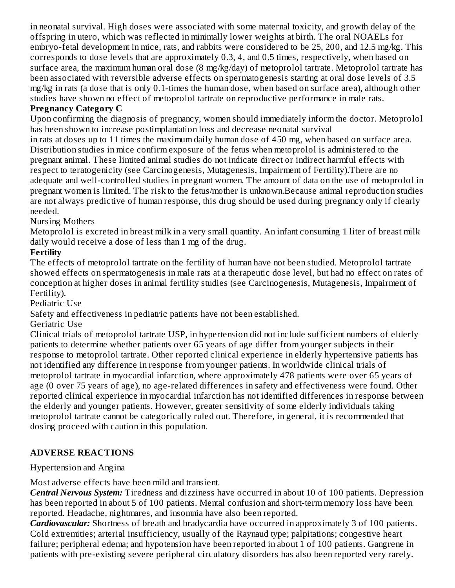in neonatal survival. High doses were associated with some maternal toxicity, and growth delay of the offspring in utero, which was reflected in minimally lower weights at birth. The oral NOAELs for embryo-fetal development in mice, rats, and rabbits were considered to be 25, 200, and 12.5 mg/kg. This corresponds to dose levels that are approximately 0.3, 4, and 0.5 times, respectively, when based on surface area, the maximum human oral dose (8 mg/kg/day) of metoprolol tartrate. Metoprolol tartrate has been associated with reversible adverse effects on spermatogenesis starting at oral dose levels of 3.5 mg/kg in rats (a dose that is only 0.1-times the human dose, when based on surface area), although other studies have shown no effect of metoprolol tartrate on reproductive performance in male rats.

#### **Pregnancy Category C**

Upon confirming the diagnosis of pregnancy, women should immediately inform the doctor. Metoprolol has been shown to increase postimplantation loss and decrease neonatal survival

in rats at doses up to 11 times the maximum daily human dose of 450 mg, when based on surface area. Distribution studies in mice confirm exposure of the fetus when metoprolol is administered to the pregnant animal. These limited animal studies do not indicate direct or indirect harmful effects with respect to teratogenicity (see Carcinogenesis, Mutagenesis, Impairment of Fertility).There are no adequate and well-controlled studies in pregnant women. The amount of data on the use of metoprolol in pregnant women is limited. The risk to the fetus/mother is unknown.Because animal reproduction studies are not always predictive of human response, this drug should be used during pregnancy only if clearly needed.

Nursing Mothers

Metoprolol is excreted in breast milk in a very small quantity. An infant consuming 1 liter of breast milk daily would receive a dose of less than 1 mg of the drug.

#### **Fertility**

The effects of metoprolol tartrate on the fertility of human have not been studied. Metoprolol tartrate showed effects on spermatogenesis in male rats at a therapeutic dose level, but had no effect on rates of conception at higher doses in animal fertility studies (see Carcinogenesis, Mutagenesis, Impairment of Fertility).

Pediatric Use

Safety and effectiveness in pediatric patients have not been established.

Geriatric Use

Clinical trials of metoprolol tartrate USP, in hypertension did not include sufficient numbers of elderly patients to determine whether patients over 65 years of age differ from younger subjects in their response to metoprolol tartrate. Other reported clinical experience in elderly hypertensive patients has not identified any difference in response from younger patients. In worldwide clinical trials of metoprolol tartrate in myocardial infarction, where approximately 478 patients were over 65 years of age (0 over 75 years of age), no age-related differences in safety and effectiveness were found. Other reported clinical experience in myocardial infarction has not identified differences in response between the elderly and younger patients. However, greater sensitivity of some elderly individuals taking metoprolol tartrate cannot be categorically ruled out. Therefore, in general, it is recommended that dosing proceed with caution in this population.

# **ADVERSE REACTIONS**

#### Hypertension and Angina

Most adverse effects have been mild and transient.

*Central Nervous System:* Tiredness and dizziness have occurred in about 10 of 100 patients. Depression has been reported in about 5 of 100 patients. Mental confusion and short-term memory loss have been reported. Headache, nightmares, and insomnia have also been reported.

*Cardiovascular:* Shortness of breath and bradycardia have occurred in approximately 3 of 100 patients. Cold extremities; arterial insufficiency, usually of the Raynaud type; palpitations; congestive heart failure; peripheral edema; and hypotension have been reported in about 1 of 100 patients. Gangrene in patients with pre-existing severe peripheral circulatory disorders has also been reported very rarely.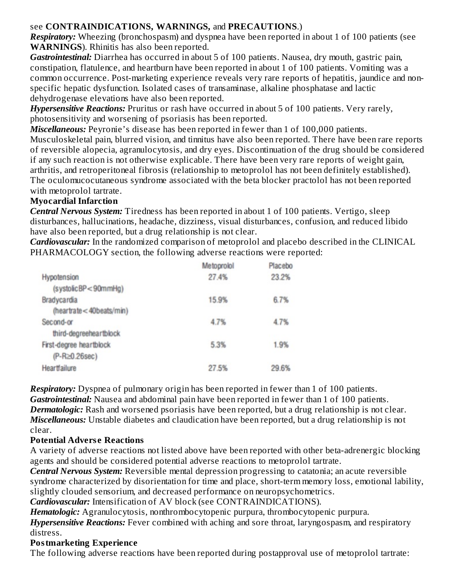# see **CONTRAINDICATIONS, WARNINGS,** and **PRECAUTIONS**.)

*Respiratory:* Wheezing (bronchospasm) and dyspnea have been reported in about 1 of 100 patients (see **WARNINGS**). Rhinitis has also been reported.

*Gastrointestinal:* Diarrhea has occurred in about 5 of 100 patients. Nausea, dry mouth, gastric pain, constipation, flatulence, and heartburn have been reported in about 1 of 100 patients. Vomiting was a common occurrence. Post-marketing experience reveals very rare reports of hepatitis, jaundice and nonspecific hepatic dysfunction. Isolated cases of transaminase, alkaline phosphatase and lactic dehydrogenase elevations have also been reported.

*Hypersensitive Reactions:* Pruritus or rash have occurred in about 5 of 100 patients. Very rarely, photosensitivity and worsening of psoriasis has been reported.

*Miscellaneous:* Peyronie's disease has been reported in fewer than 1 of 100,000 patients.

Musculoskeletal pain, blurred vision, and tinnitus have also been reported. There have been rare reports of reversible alopecia, agranulocytosis, and dry eyes. Discontinuation of the drug should be considered if any such reaction is not otherwise explicable. There have been very rare reports of weight gain, arthritis, and retroperitoneal fibrosis (relationship to metoprolol has not been definitely established). The oculomucocutaneous syndrome associated with the beta blocker practolol has not been reported with metoprolol tartrate.

#### **Myocardial Infarction**

*Central Nervous System:* Tiredness has been reported in about 1 of 100 patients. Vertigo, sleep disturbances, hallucinations, headache, dizziness, visual disturbances, confusion, and reduced libido have also been reported, but a drug relationship is not clear.

*Cardiovascular:* In the randomized comparison of metoprolol and placebo described in the CLINICAL PHARMACOLOGY section, the following adverse reactions were reported:

|                         | Metoprolol | Placebo |
|-------------------------|------------|---------|
| Hypotension             | 27.4%      | 23.2%   |
| (systolicBP<90mmHg)     |            |         |
| Bradycardia             | 15.9%      | 6.7%    |
| (heartrate<40beats/min) |            |         |
| Second-or               | 4.7%       | 4.7%    |
| third-degreeheartblock  |            |         |
| First-degree heartblock | 5.3%       | 1.9%    |
| $(P-R\ge0.26sec)$       |            |         |
| Heartfailure            | 27.5%      | 29.6%   |
|                         |            |         |

*Respiratory:* Dyspnea of pulmonary origin has been reported in fewer than 1 of 100 patients. *Gastrointestinal:* Nausea and abdominal pain have been reported in fewer than 1 of 100 patients. *Dermatologic:* Rash and worsened psoriasis have been reported, but a drug relationship is not clear. *Miscellaneous:* Unstable diabetes and claudication have been reported, but a drug relationship is not clear.

# **Potential Advers e Reactions**

A variety of adverse reactions not listed above have been reported with other beta-adrenergic blocking agents and should be considered potential adverse reactions to metoprolol tartrate.

*Central Nervous System:* Reversible mental depression progressing to catatonia; an acute reversible syndrome characterized by disorientation for time and place, short-term memory loss, emotional lability, slightly clouded sensorium, and decreased performance on neuropsychometrics.

*Cardiovascular:* Intensification of AV block (see CONTRAINDICATIONS).

*Hematologic:* Agranulocytosis, nonthrombocytopenic purpura, thrombocytopenic purpura. *Hypersensitive Reactions:* Fever combined with aching and sore throat, laryngospasm, and respiratory distress.

# **Postmarketing Experience**

The following adverse reactions have been reported during postapproval use of metoprolol tartrate: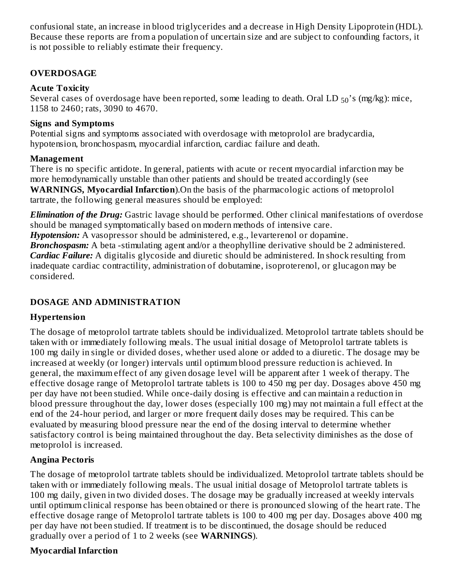confusional state, an increase in blood triglycerides and a decrease in High Density Lipoprotein (HDL). Because these reports are from a population of uncertain size and are subject to confounding factors, it is not possible to reliably estimate their frequency.

#### **OVERDOSAGE**

#### **Acute Toxicity**

Several cases of overdosage have been reported, some leading to death. Oral LD  $_{50}$ 's (mg/kg): mice, 1158 to 2460; rats, 3090 to 4670.

#### **Signs and Symptoms**

Potential signs and symptoms associated with overdosage with metoprolol are bradycardia, hypotension, bronchospasm, myocardial infarction, cardiac failure and death.

#### **Management**

There is no specific antidote. In general, patients with acute or recent myocardial infarction may be more hemodynamically unstable than other patients and should be treated accordingly (see **WARNINGS, Myocardial Infarction**).On the basis of the pharmacologic actions of metoprolol tartrate, the following general measures should be employed:

*Elimination of the Drug:* Gastric lavage should be performed. Other clinical manifestations of overdose should be managed symptomatically based on modern methods of intensive care. *Hypotension:* A vasopressor should be administered, e.g., levarterenol or dopamine.

**Bronchospasm:** A beta -stimulating agent and/or a theophylline derivative should be 2 administered. *Cardiac Failure:* A digitalis glycoside and diuretic should be administered. In shock resulting from inadequate cardiac contractility, administration of dobutamine, isoproterenol, or glucagon may be considered.

# **DOSAGE AND ADMINISTRATION**

# **Hypertension**

The dosage of metoprolol tartrate tablets should be individualized. Metoprolol tartrate tablets should be taken with or immediately following meals. The usual initial dosage of Metoprolol tartrate tablets is 100 mg daily in single or divided doses, whether used alone or added to a diuretic. The dosage may be increased at weekly (or longer) intervals until optimum blood pressure reduction is achieved. In general, the maximum effect of any given dosage level will be apparent after 1 week of therapy. The effective dosage range of Metoprolol tartrate tablets is 100 to 450 mg per day. Dosages above 450 mg per day have not been studied. While once-daily dosing is effective and can maintain a reduction in blood pressure throughout the day, lower doses (especially 100 mg) may not maintain a full effect at the end of the 24-hour period, and larger or more frequent daily doses may be required. This can be evaluated by measuring blood pressure near the end of the dosing interval to determine whether satisfactory control is being maintained throughout the day. Beta selectivity diminishes as the dose of metoprolol is increased.

# **Angina Pectoris**

The dosage of metoprolol tartrate tablets should be individualized. Metoprolol tartrate tablets should be taken with or immediately following meals. The usual initial dosage of Metoprolol tartrate tablets is 100 mg daily, given in two divided doses. The dosage may be gradually increased at weekly intervals until optimum clinical response has been obtained or there is pronounced slowing of the heart rate. The effective dosage range of Metoprolol tartrate tablets is 100 to 400 mg per day. Dosages above 400 mg per day have not been studied. If treatment is to be discontinued, the dosage should be reduced gradually over a period of 1 to 2 weeks (see **WARNINGS**).

# **Myocardial Infarction**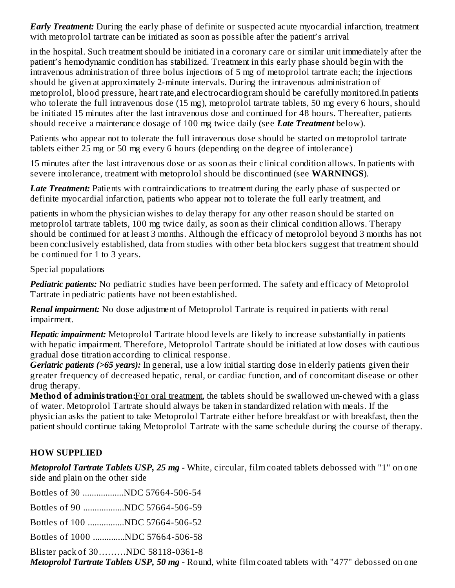*Early Treatment:* During the early phase of definite or suspected acute myocardial infarction, treatment with metoprolol tartrate can be initiated as soon as possible after the patient's arrival

in the hospital. Such treatment should be initiated in a coronary care or similar unit immediately after the patient's hemodynamic condition has stabilized. Treatment in this early phase should begin with the intravenous administration of three bolus injections of 5 mg of metoprolol tartrate each; the injections should be given at approximately 2-minute intervals. During the intravenous administration of metoprolol, blood pressure, heart rate,and electrocardiogram should be carefully monitored.In patients who tolerate the full intravenous dose (15 mg), metoprolol tartrate tablets, 50 mg every 6 hours, should be initiated 15 minutes after the last intravenous dose and continued for 48 hours. Thereafter, patients should receive a maintenance dosage of 100 mg twice daily (see *Late Treatment* below).

Patients who appear not to tolerate the full intravenous dose should be started on metoprolol tartrate tablets either 25 mg or 50 mg every 6 hours (depending on the degree of intolerance)

15 minutes after the last intravenous dose or as soon as their clinical condition allows. In patients with severe intolerance, treatment with metoprolol should be discontinued (see **WARNINGS**).

*Late Treatment:* Patients with contraindications to treatment during the early phase of suspected or definite myocardial infarction, patients who appear not to tolerate the full early treatment, and

patients in whom the physician wishes to delay therapy for any other reason should be started on metoprolol tartrate tablets, 100 mg twice daily, as soon as their clinical condition allows. Therapy should be continued for at least 3 months. Although the efficacy of metoprolol beyond 3 months has not been conclusively established, data from studies with other beta blockers suggest that treatment should be continued for 1 to 3 years.

Special populations

*Pediatric patients:* No pediatric studies have been performed. The safety and efficacy of Metoprolol Tartrate in pediatric patients have not been established.

*Renal impairment:* No dose adjustment of Metoprolol Tartrate is required in patients with renal impairment.

*Hepatic impairment:* Metoprolol Tartrate blood levels are likely to increase substantially in patients with hepatic impairment. Therefore, Metoprolol Tartrate should be initiated at low doses with cautious gradual dose titration according to clinical response.

*Geriatric patients (>65 years):* In general, use a low initial starting dose in elderly patients given their greater frequency of decreased hepatic, renal, or cardiac function, and of concomitant disease or other drug therapy.

**Method of administration:**For oral treatment, the tablets should be swallowed un-chewed with a glass of water. Metoprolol Tartrate should always be taken in standardized relation with meals. If the physician asks the patient to take Metoprolol Tartrate either before breakfast or with breakfast, then the patient should continue taking Metoprolol Tartrate with the same schedule during the course of therapy.

# **HOW SUPPLIED**

*Metoprolol Tartrate Tablets USP, 25 mg -* White, circular, film coated tablets debossed with "1" on one side and plain on the other side

Bottles of 30 ..................NDC 57664-506-54 Bottles of 90 ..................NDC 57664-506-59

Bottles of 100 ................NDC 57664-506-52

Bottles of 1000 ..............NDC 57664-506-58

Blister pack of 30………NDC 58118-0361-8

*Metoprolol Tartrate Tablets USP, 50 mg -* Round, white film coated tablets with "477" debossed on one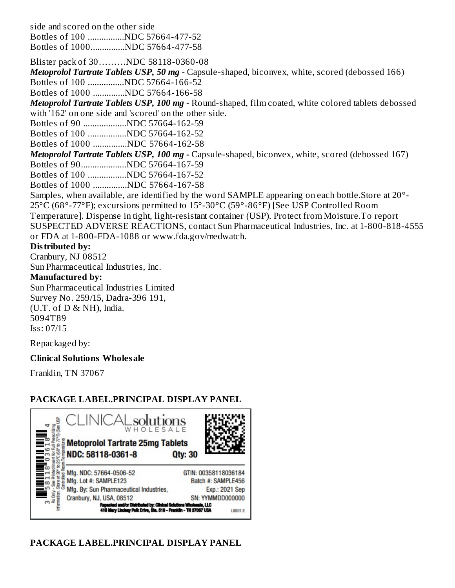side and scored on the other side

Bottles of 100 ................NDC 57664-477-52 Bottles of 1000...............NDC 57664-477-58

Blister pack of 30………NDC 58118-0360-08

*Metoprolol Tartrate Tablets USP, 50 mg -* Capsule-shaped, biconvex, white, scored (debossed 166) Bottles of 100 ................NDC 57664-166-52

Bottles of 1000 ..............NDC 57664-166-58

*Metoprolol Tartrate Tablets USP, 100 mg -* Round-shaped, film coated, white colored tablets debossed with '162' on one side and 'scored' on the other side.

Bottles of 90 ...................NDC 57664-162-59

Bottles of 100 .................NDC 57664-162-52

Bottles of 1000 ...............NDC 57664-162-58

*Metoprolol Tartrate Tablets USP, 100 mg -* Capsule-shaped, biconvex, white, scored (debossed 167)

Bottles of 90....................NDC 57664-167-59

Bottles of 100 .................NDC 57664-167-52

Bottles of 1000 ...............NDC 57664-167-58

Samples, when available, are identified by the word SAMPLE appearing on each bottle.Store at 20°- 25°C (68°-77°F); excursions permitted to 15°-30°C (59°-86°F) [See USP Controlled Room

Temperature]. Dispense in tight, light-resistant container (USP). Protect from Moisture.To report SUSPECTED ADVERSE REACTIONS, contact Sun Pharmaceutical Industries, Inc. at 1-800-818-4555 or FDA at 1-800-FDA-1088 or www.fda.gov/medwatch.

#### **Distributed by:**

Cranbury, NJ 08512

Sun Pharmaceutical Industries, Inc.

#### **Manufactured by:**

Sun Pharmaceutical Industries Limited Survey No. 259/15, Dadra-396 191,  $(U.T. of D & NH)$ , India. 5094T89 Iss: 07/15

Repackaged by:

# **Clinical Solutions Wholesale**

Franklin, TN 37067

# **PACKAGE LABEL.PRINCIPAL DISPLAY PANEL**



# **PACKAGE LABEL.PRINCIPAL DISPLAY PANEL**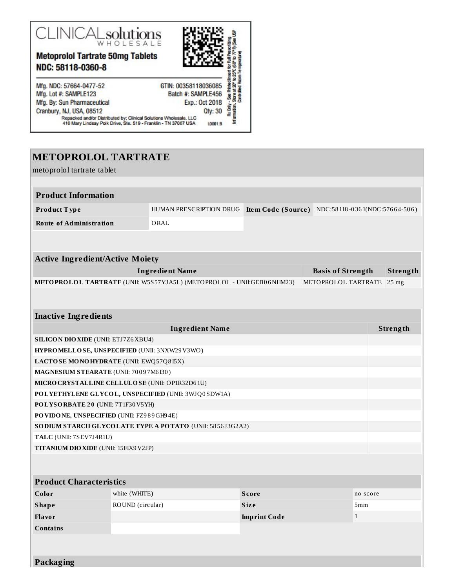

**Metoprolol Tartrate 50mg Tablets** NDC: 58118-0360-8



Mfg. NDC: 57664-0477-52 Mfg. Lot #: SAMPLE123 Mfg. By: Sun Pharmaceutical Cranbury, NJ, USA, 08512

# GTIN: 00358118036085<br>Batch #: SAMPLE456<br>Batch #: SAMPLE456<br>Exp.: 0ct 2018<br>City: 30<br>City: 30<br>Samplessle, LLC<br>City: 30

L0001.B

Repacked and/or Distributed by: Clinical Solutions Wholesale, LLC<br>416 Mary Lindsay Polk Drive, Ste. 519 - Franklin - TN 37067 USA

# **METOPROLOL TARTRATE**

| metoprolol tartrate tablet                      |                  |                                                                       |                     |                               |          |                  |  |
|-------------------------------------------------|------------------|-----------------------------------------------------------------------|---------------------|-------------------------------|----------|------------------|--|
|                                                 |                  |                                                                       |                     |                               |          |                  |  |
| <b>Product Information</b>                      |                  |                                                                       |                     |                               |          |                  |  |
| Product Type                                    |                  | HUMAN PRESCRIPTION DRUG                                               | Item Code (Source)  | NDC:58118-0361(NDC:57664-506) |          |                  |  |
| <b>Route of Administration</b>                  |                  | ORAL                                                                  |                     |                               |          |                  |  |
|                                                 |                  |                                                                       |                     |                               |          |                  |  |
|                                                 |                  |                                                                       |                     |                               |          |                  |  |
| <b>Active Ingredient/Active Moiety</b>          |                  |                                                                       |                     |                               |          |                  |  |
|                                                 |                  | <b>Ingredient Name</b>                                                |                     | <b>Basis of Strength</b>      |          | Strength         |  |
|                                                 |                  | METOPROLOL TARTRATE (UNII: W5S57Y3A5L) (METOPROLOL - UNII:GEB06NHM23) |                     | METOPROLOL TARTRATE           |          | 25 <sub>mg</sub> |  |
|                                                 |                  |                                                                       |                     |                               |          |                  |  |
|                                                 |                  |                                                                       |                     |                               |          |                  |  |
| <b>Inactive Ingredients</b>                     |                  |                                                                       |                     |                               |          |                  |  |
| <b>Ingredient Name</b>                          |                  |                                                                       |                     |                               |          | Strength         |  |
| <b>SILICON DIO XIDE</b> (UNII: ETJ7Z6 XBU4)     |                  |                                                                       |                     |                               |          |                  |  |
| HYPROMELLOSE, UNSPECIFIED (UNII: 3NXW29V3WO)    |                  |                                                                       |                     |                               |          |                  |  |
| LACTOSE MONOHYDRATE (UNII: EWQ57Q8I5X)          |                  |                                                                       |                     |                               |          |                  |  |
| MAGNESIUM STEARATE (UNII: 70097M6I30)           |                  |                                                                       |                     |                               |          |                  |  |
| MICRO CRYSTALLINE CELLULO SE (UNII: OP1R32D61U) |                  |                                                                       |                     |                               |          |                  |  |
|                                                 |                  | POLYETHYLENE GLYCOL, UNSPECIFIED (UNII: 3WJQ0SDW1A)                   |                     |                               |          |                  |  |
| POLYSORBATE 20 (UNII: 7T1F30V5YH)               |                  |                                                                       |                     |                               |          |                  |  |
| PO VIDONE, UNSPECIFIED (UNII: FZ989GH94E)       |                  |                                                                       |                     |                               |          |                  |  |
|                                                 |                  | SODIUM STARCH GLYCOLATE TYPE A POTATO (UNII: 5856J3G2A2)              |                     |                               |          |                  |  |
| TALC (UNII: 7SEV7J4R1U)                         |                  |                                                                       |                     |                               |          |                  |  |
| <b>TITANIUM DIO XIDE</b> (UNII: 15FIX9 V2JP)    |                  |                                                                       |                     |                               |          |                  |  |
|                                                 |                  |                                                                       |                     |                               |          |                  |  |
| <b>Product Characteristics</b>                  |                  |                                                                       |                     |                               |          |                  |  |
| Color                                           | white (WHITE)    |                                                                       | <b>Score</b>        |                               | no score |                  |  |
| <b>Shape</b>                                    | ROUND (circular) |                                                                       | <b>Size</b>         |                               | 5mm      |                  |  |
| Flavor                                          |                  |                                                                       | <b>Imprint Code</b> | $\mathbf{1}$                  |          |                  |  |
| <b>Contains</b>                                 |                  |                                                                       |                     |                               |          |                  |  |
|                                                 |                  |                                                                       |                     |                               |          |                  |  |
|                                                 |                  |                                                                       |                     |                               |          |                  |  |

**Packaging**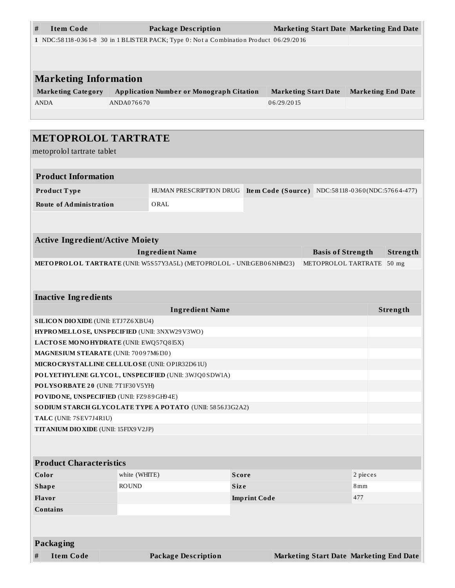| <b>Item Code</b><br>#                                           |                                                                                       | <b>Package Description</b>                                            |              |            | <b>Marketing Start Date Marketing End Date</b>   |                           |          |
|-----------------------------------------------------------------|---------------------------------------------------------------------------------------|-----------------------------------------------------------------------|--------------|------------|--------------------------------------------------|---------------------------|----------|
|                                                                 | 1 NDC:58118-0361-8 30 in 1 BLISTER PACK; Type 0: Not a Combination Product 06/29/2016 |                                                                       |              |            |                                                  |                           |          |
|                                                                 |                                                                                       |                                                                       |              |            |                                                  |                           |          |
|                                                                 |                                                                                       |                                                                       |              |            |                                                  |                           |          |
| <b>Marketing Information</b>                                    |                                                                                       |                                                                       |              |            |                                                  |                           |          |
| <b>Marketing Category</b>                                       |                                                                                       | <b>Application Number or Monograph Citation</b>                       |              |            | <b>Marketing Start Date</b>                      | <b>Marketing End Date</b> |          |
| <b>ANDA</b>                                                     | ANDA076670                                                                            |                                                                       |              | 06/29/2015 |                                                  |                           |          |
|                                                                 |                                                                                       |                                                                       |              |            |                                                  |                           |          |
|                                                                 |                                                                                       |                                                                       |              |            |                                                  |                           |          |
| <b>METOPROLOL TARTRATE</b>                                      |                                                                                       |                                                                       |              |            |                                                  |                           |          |
| metoprolol tartrate tablet                                      |                                                                                       |                                                                       |              |            |                                                  |                           |          |
|                                                                 |                                                                                       |                                                                       |              |            |                                                  |                           |          |
| <b>Product Information</b>                                      |                                                                                       |                                                                       |              |            |                                                  |                           |          |
| Product Type                                                    |                                                                                       | HUMAN PRESCRIPTION DRUG                                               |              |            | Item Code (Source) NDC:58118-0360(NDC:57664-477) |                           |          |
| <b>Route of Administration</b>                                  |                                                                                       | ORAL                                                                  |              |            |                                                  |                           |          |
|                                                                 |                                                                                       |                                                                       |              |            |                                                  |                           |          |
|                                                                 |                                                                                       |                                                                       |              |            |                                                  |                           |          |
| <b>Active Ingredient/Active Moiety</b>                          |                                                                                       |                                                                       |              |            |                                                  |                           |          |
|                                                                 |                                                                                       | <b>Ingredient Name</b>                                                |              |            | <b>Basis of Strength</b>                         |                           | Strength |
|                                                                 |                                                                                       | METOPROLOL TARTRATE (UNII: W5S57Y3A5L) (METOPROLOL - UNII:GEB06NHM23) |              |            | METOPROLOL TARTRATE                              |                           | $50$ mg  |
|                                                                 |                                                                                       |                                                                       |              |            |                                                  |                           |          |
|                                                                 |                                                                                       |                                                                       |              |            |                                                  |                           |          |
| <b>Inactive Ingredients</b>                                     |                                                                                       |                                                                       |              |            |                                                  |                           |          |
|                                                                 |                                                                                       | <b>Ingredient Name</b>                                                |              |            |                                                  |                           | Strength |
| <b>SILICON DIO XIDE (UNII: ETJ7Z6 XBU4)</b>                     |                                                                                       |                                                                       |              |            |                                                  |                           |          |
| HYPROMELLOSE, UNSPECIFIED (UNII: 3NXW29V3WO)                    |                                                                                       |                                                                       |              |            |                                                  |                           |          |
| LACTOSE MONOHYDRATE (UNII: EWQ57Q8I5X)                          |                                                                                       |                                                                       |              |            |                                                  |                           |          |
| MAGNESIUM STEARATE (UNII: 70097M6I30)                           |                                                                                       |                                                                       |              |            |                                                  |                           |          |
| MICRO CRYSTALLINE CELLULO SE (UNII: OP1R32D61U)                 |                                                                                       |                                                                       |              |            |                                                  |                           |          |
|                                                                 |                                                                                       | POLYETHYLENE GLYCOL, UNSPECIFIED (UNII: 3WJQ0SDW1A)                   |              |            |                                                  |                           |          |
| POLYSORBATE 20 (UNII: 7T1F30V5YH)                               |                                                                                       |                                                                       |              |            |                                                  |                           |          |
| PO VIDO NE, UNSPECIFIED (UNII: FZ989GH94E)                      |                                                                                       |                                                                       |              |            |                                                  |                           |          |
| SODIUM STARCH GLYCOLATE TYPE A POTATO (UNII: 5856J3G2A2)        |                                                                                       |                                                                       |              |            |                                                  |                           |          |
| TALC (UNII: 7SEV7J4R1U)<br>TITANIUM DIO XIDE (UNII: 15FIX9V2JP) |                                                                                       |                                                                       |              |            |                                                  |                           |          |
|                                                                 |                                                                                       |                                                                       |              |            |                                                  |                           |          |
|                                                                 |                                                                                       |                                                                       |              |            |                                                  |                           |          |
| <b>Product Characteristics</b>                                  |                                                                                       |                                                                       |              |            |                                                  |                           |          |
| Color                                                           | white (WHITE)                                                                         |                                                                       | <b>Score</b> |            |                                                  | 2 pieces                  |          |
| <b>Shape</b>                                                    | <b>ROUND</b><br><b>Size</b><br>8 <sub>mm</sub>                                        |                                                                       |              |            |                                                  |                           |          |
| Flavor                                                          | <b>Imprint Code</b>                                                                   |                                                                       | 477          |            |                                                  |                           |          |
| <b>Contains</b>                                                 |                                                                                       |                                                                       |              |            |                                                  |                           |          |
|                                                                 |                                                                                       |                                                                       |              |            |                                                  |                           |          |
|                                                                 |                                                                                       |                                                                       |              |            |                                                  |                           |          |
| <b>Packaging</b>                                                |                                                                                       |                                                                       |              |            |                                                  |                           |          |
| <b>Item Code</b><br>#                                           |                                                                                       | <b>Package Description</b>                                            |              |            | Marketing Start Date Marketing End Date          |                           |          |